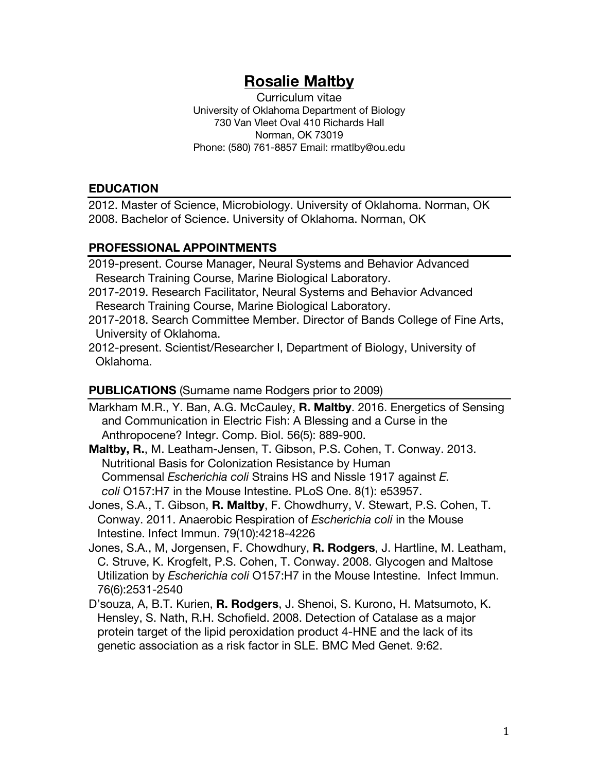# **Rosalie Maltby**

Curriculum vitae University of Oklahoma Department of Biology 730 Van Vleet Oval 410 Richards Hall Norman, OK 73019 Phone: (580) 761-8857 Email: rmatlby@ou.edu

#### **EDUCATION**

2012. Master of Science, Microbiology. University of Oklahoma. Norman, OK 2008. Bachelor of Science. University of Oklahoma. Norman, OK

#### **PROFESSIONAL APPOINTMENTS**

2019-present. Course Manager, Neural Systems and Behavior Advanced Research Training Course, Marine Biological Laboratory.

- 2017-2019. Research Facilitator, Neural Systems and Behavior Advanced Research Training Course, Marine Biological Laboratory.
- 2017-2018. Search Committee Member. Director of Bands College of Fine Arts, University of Oklahoma.

2012-present. Scientist/Researcher I, Department of Biology, University of Oklahoma.

#### **PUBLICATIONS** (Surname name Rodgers prior to 2009)

Markham M.R., Y. Ban, A.G. McCauley, **R. Maltby**. 2016. Energetics of Sensing and Communication in Electric Fish: A Blessing and a Curse in the Anthropocene? Integr. Comp. Biol. 56(5): 889-900.

**Maltby, R.**, M. Leatham-Jensen, T. Gibson, P.S. Cohen, T. Conway. 2013. Nutritional Basis for Colonization Resistance by Human Commensal *Escherichia coli* Strains HS and Nissle 1917 against *E. coli* O157:H7 in the Mouse Intestine. PLoS One. 8(1): e53957.

Jones, S.A., T. Gibson, **R. Maltby**, F. Chowdhurry, V. Stewart, P.S. Cohen, T. Conway. 2011. Anaerobic Respiration of *Escherichia coli* in the Mouse Intestine. Infect Immun. 79(10):4218-4226

- Jones, S.A., M, Jorgensen, F. Chowdhury, **R. Rodgers**, J. Hartline, M. Leatham, C. Struve, K. Krogfelt, P.S. Cohen, T. Conway. 2008. Glycogen and Maltose Utilization by *Escherichia coli* O157:H7 in the Mouse Intestine. Infect Immun. 76(6):2531-2540
- D'souza, A, B.T. Kurien, **R. Rodgers**, J. Shenoi, S. Kurono, H. Matsumoto, K. Hensley, S. Nath, R.H. Schofield. 2008. Detection of Catalase as a major protein target of the lipid peroxidation product 4-HNE and the lack of its genetic association as a risk factor in SLE. BMC Med Genet. 9:62.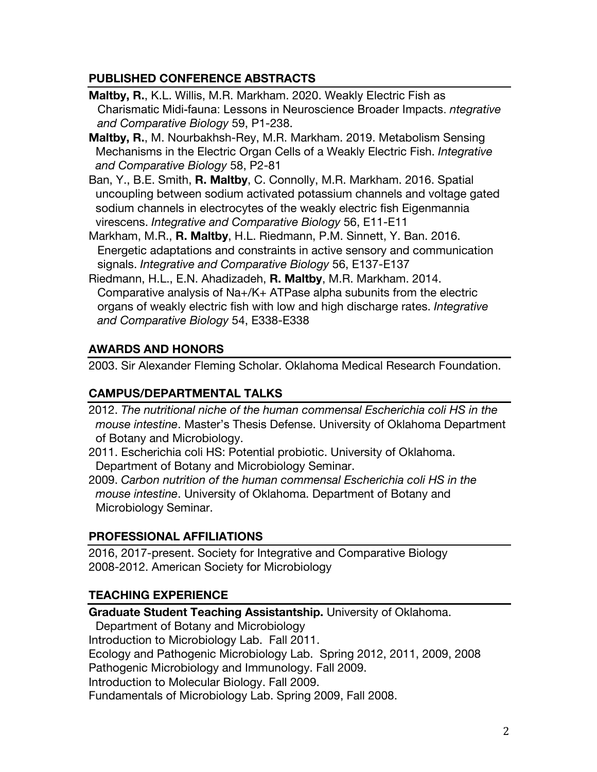### **PUBLISHED CONFERENCE ABSTRACTS**

- **Maltby, R.**, K.L. Willis, M.R. Markham. 2020. Weakly Electric Fish as Charismatic Midi-fauna: Lessons in Neuroscience Broader Impacts. *ntegrative and Comparative Biology* 59, P1-238.
- **Maltby, R.**, M. Nourbakhsh-Rey, M.R. Markham. 2019. Metabolism Sensing Mechanisms in the Electric Organ Cells of a Weakly Electric Fish. *Integrative and Comparative Biology* 58, P2-81
- Ban, Y., B.E. Smith, **R. Maltby**, C. Connolly, M.R. Markham. 2016. Spatial uncoupling between sodium activated potassium channels and voltage gated sodium channels in electrocytes of the weakly electric fish Eigenmannia virescens. *Integrative and Comparative Biology* 56, E11-E11
- Markham, M.R., **R. Maltby**, H.L. Riedmann, P.M. Sinnett, Y. Ban. 2016. Energetic adaptations and constraints in active sensory and communication signals. *Integrative and Comparative Biology* 56, E137-E137
- Riedmann, H.L., E.N. Ahadizadeh, **R. Maltby**, M.R. Markham. 2014. Comparative analysis of Na+/K+ ATPase alpha subunits from the electric organs of weakly electric fish with low and high discharge rates. *Integrative and Comparative Biology* 54, E338-E338

## **AWARDS AND HONORS**

2003. Sir Alexander Fleming Scholar. Oklahoma Medical Research Foundation.

### **CAMPUS/DEPARTMENTAL TALKS**

- 2012. *The nutritional niche of the human commensal Escherichia coli HS in the mouse intestine*. Master's Thesis Defense. University of Oklahoma Department of Botany and Microbiology.
- 2011. Escherichia coli HS: Potential probiotic. University of Oklahoma. Department of Botany and Microbiology Seminar.
- 2009. *Carbon nutrition of the human commensal Escherichia coli HS in the mouse intestine*. University of Oklahoma. Department of Botany and Microbiology Seminar.

## **PROFESSIONAL AFFILIATIONS**

2016, 2017-present. Society for Integrative and Comparative Biology 2008-2012. American Society for Microbiology

### **TEACHING EXPERIENCE**

**Graduate Student Teaching Assistantship.** University of Oklahoma.

Department of Botany and Microbiology

Introduction to Microbiology Lab. Fall 2011.

Ecology and Pathogenic Microbiology Lab. Spring 2012, 2011, 2009, 2008

Pathogenic Microbiology and Immunology. Fall 2009.

Introduction to Molecular Biology. Fall 2009.

Fundamentals of Microbiology Lab. Spring 2009, Fall 2008.